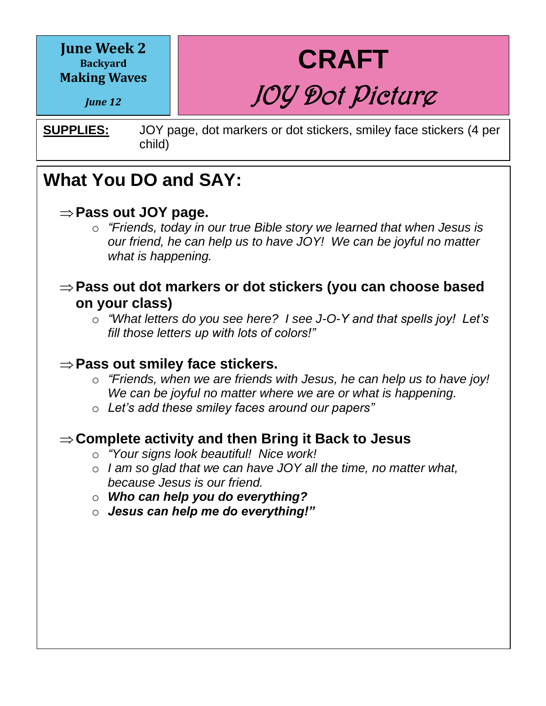**June Week 2 Backyard Making Waves**

*June 12*

**CRAFT** JOY Dot Picture

**SUPPLIES:** JOY page, dot markers or dot stickers, smiley face stickers (4 per child)

## **What You DO and SAY:**

### **Pass out JOY page.**

o *"Friends, today in our true Bible story we learned that when Jesus is our friend, he can help us to have JOY! We can be joyful no matter what is happening.*

#### **Pass out dot markers or dot stickers (you can choose based on your class)**

o *"What letters do you see here? I see J-O-Y and that spells joy! Let's fill those letters up with lots of colors!"*

## $\Rightarrow$  Pass out smiley face stickers.

- $\circ$  "Friends, when we are friends with Jesus, he can help us to have joy! *We can be joyful no matter where we are or what is happening.*
	- o *Let's add these smiley faces around our papers"*

### **Complete activity and then Bring it Back to Jesus**

- o *"Your signs look beautiful! Nice work!*
- o *I am so glad that we can have JOY all the time, no matter what, because Jesus is our friend.*
- $\circ$  Who can help you do everything?
	- o *Jesus can help me do everything!"*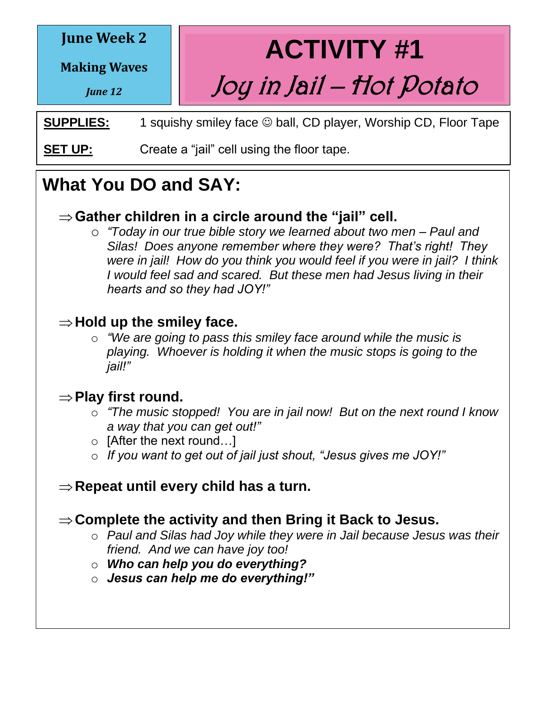**Making Waves**

*June 12*

Joy in Jail – Hot Potato

**ACTIVITY #1**

**SUPPLIES:** 1 squishy smiley face © ball, CD player, Worship CD, Floor Tape

**SET UP:** Create a "jail" cell using the floor tape.

## **What You DO and SAY:** a

### **Gather children in a circle around the "jail" cell.**

o *"Today in our true bible story we learned about two men – Paul and Silas! Does anyone remember where they were? That's right! They were in jail! How do you think you would feel if you were in jail? I think I would feel sad and scared. But these men had Jesus living in their hearts and so they had JOY!"*

### $\Rightarrow$  Hold up the smiley face.

 $\circ$  "We are going to pass this smiley face around while the music is *playing. Whoever is holding it when the music stops is going to the jail!"*  **What You Do:**

### **Play first round.**

- o *"The music stopped! You are in jail now! But on the next round I know a way that you can get out!"*
- o [After the next round…]
- $\circ$  *If you want to get out of jail just shout, "Jesus gives me JOY!"* 
	- **⇒ Repeat until every child has a turn.**

### **Complete the activity and then Bring it Back to Jesus.**

- o *Paul and Silas had Joy while they were in Jail because Jesus was their friend. And we can have joy too!*
- o *Who can help you do everything?*
- o *Jesus can help me do everything!"*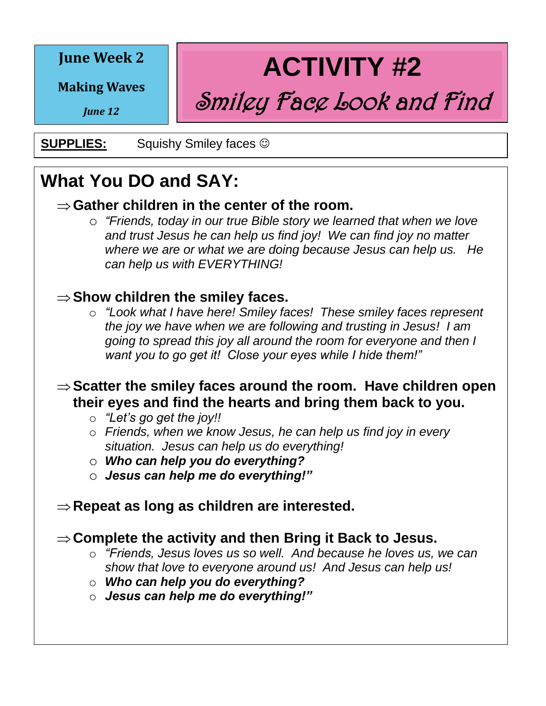**Making Waves**

*June 12*

**ACTIVITY #2**

# Smiley Face Look and Find

**SUPPLIES:** Squishy Smiley faces  $\odot$ 

## **What You DO and SAY:**

### $\Rightarrow$  Gather children in the center of the room.

o *"Friends, today in our true Bible story we learned that when we love and trust Jesus he can help us find joy! We can find joy no matter where we are or what we are doing because Jesus can help us. He can help us with EVERYTHING!* 

## $\Rightarrow$  Show children the smiley faces.

o *"Look what I have here! Smiley faces! These smiley faces represent the joy we have when we are following and trusting in Jesus! I am going to spread this joy all around the room for everyone and then I want you to go get it! Close your eyes while I hide them!"*

### **Scatter the smiley faces around the room. Have children open their eyes and find the hearts and bring them back to you.**

- $\circ$  "Let's go get the joy!!
	- o *Friends, when we know Jesus, he can help us find joy in every situation. Jesus can help us do everything!*
	- o *Who can help you do everything?*
	- o *Jesus can help me do everything!"*

### **⇒ Repeat as long as children are interested.**

- **Complete the activity and then Bring it Back to Jesus.**
	- o *"Friends, Jesus loves us so well. And because he loves us, we can show that love to everyone around us! And Jesus can help us!*
	- o *Who can help you do everything?*
	- o *Jesus can help me do everything!"*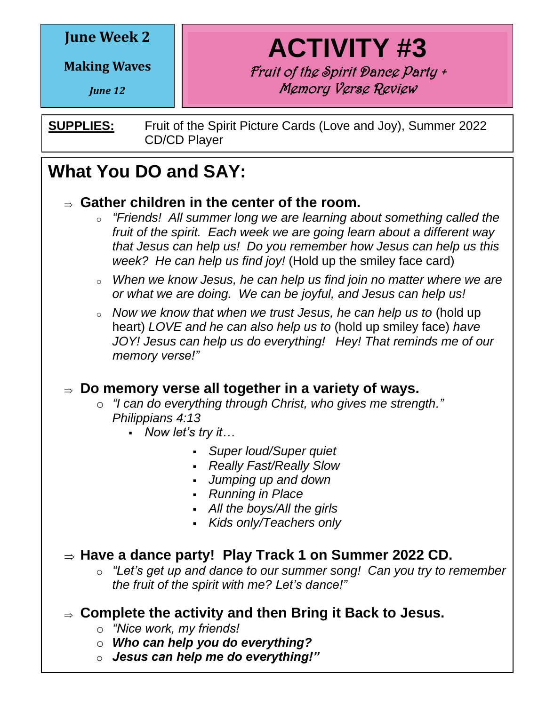**Making Waves**

*June 12*

**ACTIVITY #3** Fruit of the Spirit Dance Party +

Memory Verse Review

**SUPPLIES:** Fruit of the Spirit Picture Cards (Love and Joy), Summer 2022 CD/CD Player

## **What You DO and SAY:**

### **Gather children in the center of the room.**

- o *"Friends! All summer long we are learning about something called the fruit of the spirit. Each week we are going learn about a different way that Jesus can help us! Do you remember how Jesus can help us this week? He can help us find joy!* (Hold up the smiley face card)
- o *When we know Jesus, he can help us find join no matter where we are or what we are doing. We can be joyful, and Jesus can help us!*

o *Now we know that when we trust Jesus, he can help us to* (hold up heart) *LOVE and he can also help us to* (hold up smiley face) *have JOY! Jesus can help us do everything! Hey! That reminds me of our memory verse!"*

#### **Do memory verse all together in a variety of ways. What you need:**

- o *"I can do everything through Christ, who gives me strength." Philippians 4:13* **What You Do:**
	- *Now let's try it…*
		- *Super loud/Super quiet*
		- *Really Fast/Really Slow*
		- *Jumping up and down*
		- *Running in Place*
		- *All the boys/All the girls*
		- *Kids only/Teachers only*

### ⇒ Have a dance party! Play Track 1 on Summer 2022 CD.

- o *"Let's get up and dance to our summer song! Can you try to remember the fruit of the spirit with me? Let's dance!"*
- **Complete the activity and then Bring it Back to Jesus.**
	- o *"Nice work, my friends!*
	- o *Who can help you do everything?*
	- o *Jesus can help me do everything!"*